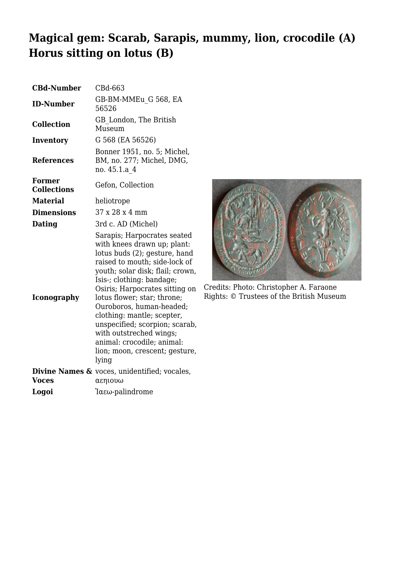## **Magical gem: Scarab, Sarapis, mummy, lion, crocodile (A) Horus sitting on lotus (B)**

| <b>CBd-Number</b>            | CBd-663                                                                                                                                                                                                                                                                                                                                                                                                                                                        |
|------------------------------|----------------------------------------------------------------------------------------------------------------------------------------------------------------------------------------------------------------------------------------------------------------------------------------------------------------------------------------------------------------------------------------------------------------------------------------------------------------|
| <b>ID-Number</b>             | GB-BM-MMEu G 568, EA<br>56526                                                                                                                                                                                                                                                                                                                                                                                                                                  |
| <b>Collection</b>            | GB London, The British<br>Museum                                                                                                                                                                                                                                                                                                                                                                                                                               |
| <b>Inventory</b>             | G 568 (EA 56526)                                                                                                                                                                                                                                                                                                                                                                                                                                               |
| <b>References</b>            | Bonner 1951, no. 5; Michel,<br>BM, no. 277; Michel, DMG,<br>no. 45.1.a 4                                                                                                                                                                                                                                                                                                                                                                                       |
| Former<br><b>Collections</b> | Gefon, Collection                                                                                                                                                                                                                                                                                                                                                                                                                                              |
| <b>Material</b>              | heliotrope                                                                                                                                                                                                                                                                                                                                                                                                                                                     |
| <b>Dimensions</b>            | 37 x 28 x 4 mm                                                                                                                                                                                                                                                                                                                                                                                                                                                 |
| Dating                       | 3rd c. AD (Michel)                                                                                                                                                                                                                                                                                                                                                                                                                                             |
| <b>Iconography</b>           | Sarapis; Harpocrates seated<br>with knees drawn up; plant:<br>lotus buds (2); gesture, hand<br>raised to mouth; side-lock of<br>youth; solar disk; flail; crown,<br>Isis-; clothing: bandage;<br>Osiris; Harpocrates sitting on<br>lotus flower; star; throne;<br>Ouroboros, human-headed;<br>clothing: mantle; scepter,<br>unspecified; scorpion; scarab,<br>with outstreched wings;<br>animal: crocodile; animal:<br>lion; moon, crescent; gesture,<br>lying |
| <b>Voces</b>                 | <b>Divine Names &amp;</b> voces, unidentified; vocales,<br>αεηιουω                                                                                                                                                                                                                                                                                                                                                                                             |
| Logoi                        | Ίαεω-palindrome                                                                                                                                                                                                                                                                                                                                                                                                                                                |



Credits: Photo: Christopher A. Faraone Rights: © Trustees of the British Museum